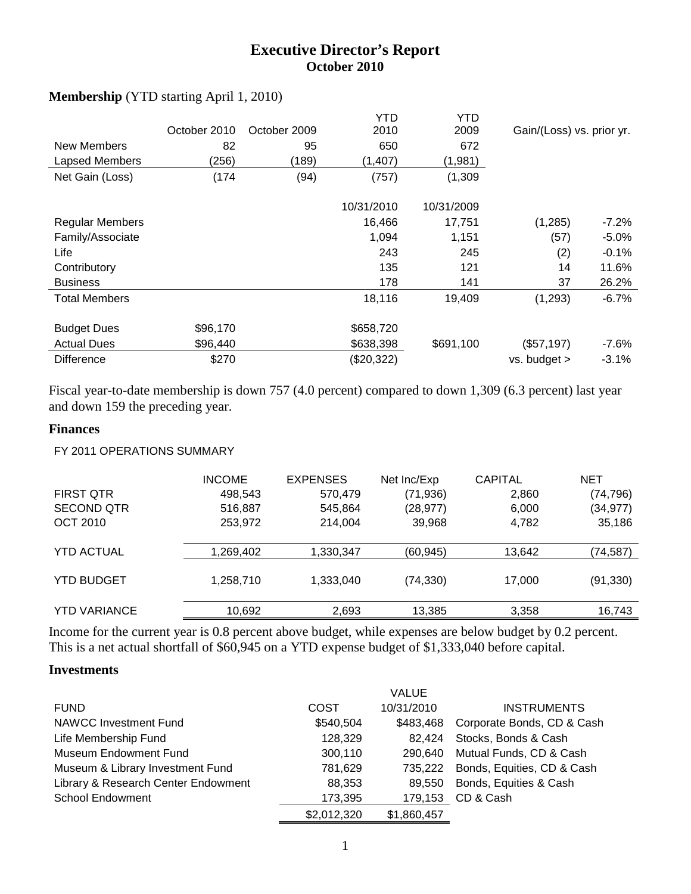## **Executive Director's Report October 2010**

| New Members<br>Lapsed Members<br>Net Gain (Loss) | October 2010<br>82<br>(256)<br>(174) | October 2009<br>95<br>(189)<br>(94) | YTD<br>2010<br>650<br>(1, 407)<br>(757) | YTD.<br>2009<br>672<br>(1,981)<br>(1, 309) | Gain/(Loss) vs. prior yr. |          |
|--------------------------------------------------|--------------------------------------|-------------------------------------|-----------------------------------------|--------------------------------------------|---------------------------|----------|
|                                                  |                                      |                                     | 10/31/2010                              | 10/31/2009                                 |                           |          |
| <b>Regular Members</b>                           |                                      |                                     | 16,466                                  | 17,751                                     | (1,285)                   | -7.2%    |
| Family/Associate                                 |                                      |                                     | 1,094                                   | 1,151                                      | (57)                      | $-5.0\%$ |
| Life                                             |                                      |                                     | 243                                     | 245                                        | (2)                       | $-0.1\%$ |
| Contributory                                     |                                      |                                     | 135                                     | 121                                        | 14                        | 11.6%    |
| <b>Business</b>                                  |                                      |                                     | 178                                     | 141                                        | 37                        | 26.2%    |
| <b>Total Members</b>                             |                                      |                                     | 18,116                                  | 19.409                                     | (1,293)                   | $-6.7%$  |
| <b>Budget Dues</b>                               | \$96,170                             |                                     | \$658,720                               |                                            |                           |          |
| <b>Actual Dues</b>                               | \$96,440                             |                                     | \$638,398                               | \$691,100                                  | (\$57,197)                | -7.6%    |
| <b>Difference</b>                                | \$270                                |                                     | (\$20,322)                              |                                            | $vs.$ budget $>$          | $-3.1%$  |

### **Membership** (YTD starting April 1, 2010)

Fiscal year-to-date membership is down 757 (4.0 percent) compared to down 1,309 (6.3 percent) last year and down 159 the preceding year.

#### **Finances**

#### FY 2011 OPERATIONS SUMMARY

|                     | <b>INCOME</b> | <b>EXPENSES</b> | Net Inc/Exp | <b>CAPITAL</b> | <b>NET</b> |
|---------------------|---------------|-----------------|-------------|----------------|------------|
| <b>FIRST QTR</b>    | 498,543       | 570,479         | (71, 936)   | 2,860          | (74, 796)  |
| <b>SECOND QTR</b>   | 516,887       | 545,864         | (28, 977)   | 6,000          | (34, 977)  |
| <b>OCT 2010</b>     | 253,972       | 214,004         | 39,968      | 4,782          | 35,186     |
| <b>YTD ACTUAL</b>   | 1,269,402     | 1,330,347       | (60, 945)   | 13,642         | (74, 587)  |
| <b>YTD BUDGET</b>   | 1,258,710     | 1,333,040       | (74, 330)   | 17,000         | (91, 330)  |
| <b>YTD VARIANCE</b> | 10,692        | 2,693           | 13,385      | 3,358          | 16,743     |
|                     |               |                 |             |                |            |

Income for the current year is 0.8 percent above budget, while expenses are below budget by 0.2 percent. This is a net actual shortfall of \$60,945 on a YTD expense budget of \$1,333,040 before capital.

#### **Investments**

|                                     |             | <b>VALUE</b> |                            |
|-------------------------------------|-------------|--------------|----------------------------|
| <b>FUND</b>                         | COST        | 10/31/2010   | <b>INSTRUMENTS</b>         |
| <b>NAWCC Investment Fund</b>        | \$540,504   | \$483.468    | Corporate Bonds, CD & Cash |
| Life Membership Fund                | 128,329     | 82.424       | Stocks, Bonds & Cash       |
| Museum Endowment Fund               | 300,110     | 290.640      | Mutual Funds, CD & Cash    |
| Museum & Library Investment Fund    | 781,629     | 735.222      | Bonds, Equities, CD & Cash |
| Library & Research Center Endowment | 88,353      | 89.550       | Bonds, Equities & Cash     |
| <b>School Endowment</b>             | 173,395     | 179,153      | CD & Cash                  |
|                                     | \$2,012,320 | \$1,860,457  |                            |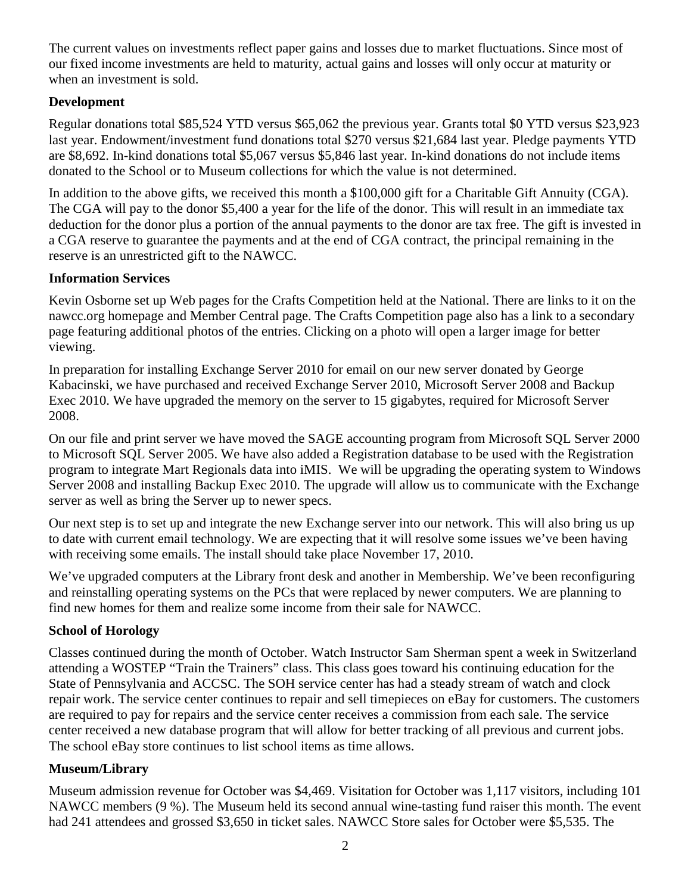The current values on investments reflect paper gains and losses due to market fluctuations. Since most of our fixed income investments are held to maturity, actual gains and losses will only occur at maturity or when an investment is sold.

### **Development**

Regular donations total \$85,524 YTD versus \$65,062 the previous year. Grants total \$0 YTD versus \$23,923 last year. Endowment/investment fund donations total \$270 versus \$21,684 last year. Pledge payments YTD are \$8,692. In-kind donations total \$5,067 versus \$5,846 last year. In-kind donations do not include items donated to the School or to Museum collections for which the value is not determined.

In addition to the above gifts, we received this month a \$100,000 gift for a Charitable Gift Annuity (CGA). The CGA will pay to the donor \$5,400 a year for the life of the donor. This will result in an immediate tax deduction for the donor plus a portion of the annual payments to the donor are tax free. The gift is invested in a CGA reserve to guarantee the payments and at the end of CGA contract, the principal remaining in the reserve is an unrestricted gift to the NAWCC.

### **Information Services**

Kevin Osborne set up Web pages for the Crafts Competition held at the National. There are links to it on the nawcc.org homepage and Member Central page. The Crafts Competition page also has a link to a secondary page featuring additional photos of the entries. Clicking on a photo will open a larger image for better viewing.

In preparation for installing Exchange Server 2010 for email on our new server donated by George Kabacinski, we have purchased and received Exchange Server 2010, Microsoft Server 2008 and Backup Exec 2010. We have upgraded the memory on the server to 15 gigabytes, required for Microsoft Server 2008.

On our file and print server we have moved the SAGE accounting program from Microsoft SQL Server 2000 to Microsoft SQL Server 2005. We have also added a Registration database to be used with the Registration program to integrate Mart Regionals data into iMIS. We will be upgrading the operating system to Windows Server 2008 and installing Backup Exec 2010. The upgrade will allow us to communicate with the Exchange server as well as bring the Server up to newer specs.

Our next step is to set up and integrate the new Exchange server into our network. This will also bring us up to date with current email technology. We are expecting that it will resolve some issues we've been having with receiving some emails. The install should take place November 17, 2010.

We've upgraded computers at the Library front desk and another in Membership. We've been reconfiguring and reinstalling operating systems on the PCs that were replaced by newer computers. We are planning to find new homes for them and realize some income from their sale for NAWCC.

### **School of Horology**

Classes continued during the month of October. Watch Instructor Sam Sherman spent a week in Switzerland attending a WOSTEP "Train the Trainers" class. This class goes toward his continuing education for the State of Pennsylvania and ACCSC. The SOH service center has had a steady stream of watch and clock repair work. The service center continues to repair and sell timepieces on eBay for customers. The customers are required to pay for repairs and the service center receives a commission from each sale. The service center received a new database program that will allow for better tracking of all previous and current jobs. The school eBay store continues to list school items as time allows.

### **Museum/Library**

Museum admission revenue for October was \$4,469. Visitation for October was 1,117 visitors, including 101 NAWCC members (9 %). The Museum held its second annual wine-tasting fund raiser this month. The event had 241 attendees and grossed \$3,650 in ticket sales. NAWCC Store sales for October were \$5,535. The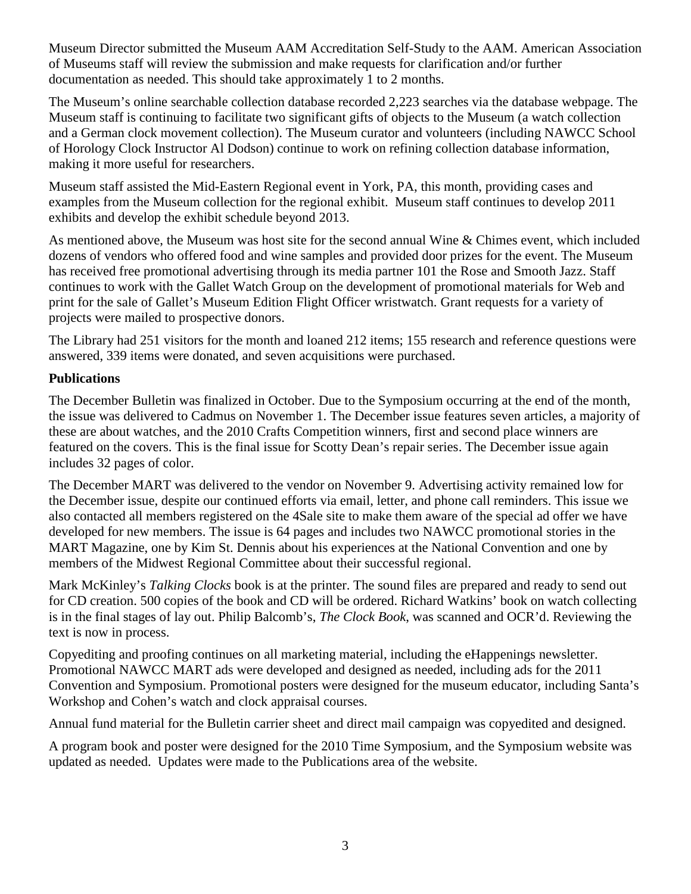Museum Director submitted the Museum AAM Accreditation Self-Study to the AAM. American Association of Museums staff will review the submission and make requests for clarification and/or further documentation as needed. This should take approximately 1 to 2 months.

The Museum's online searchable collection database recorded 2,223 searches via the database webpage. The Museum staff is continuing to facilitate two significant gifts of objects to the Museum (a watch collection and a German clock movement collection). The Museum curator and volunteers (including NAWCC School of Horology Clock Instructor Al Dodson) continue to work on refining collection database information, making it more useful for researchers.

Museum staff assisted the Mid-Eastern Regional event in York, PA, this month, providing cases and examples from the Museum collection for the regional exhibit. Museum staff continues to develop 2011 exhibits and develop the exhibit schedule beyond 2013.

As mentioned above, the Museum was host site for the second annual Wine & Chimes event, which included dozens of vendors who offered food and wine samples and provided door prizes for the event. The Museum has received free promotional advertising through its media partner 101 the Rose and Smooth Jazz. Staff continues to work with the Gallet Watch Group on the development of promotional materials for Web and print for the sale of Gallet's Museum Edition Flight Officer wristwatch. Grant requests for a variety of projects were mailed to prospective donors.

The Library had 251 visitors for the month and loaned 212 items; 155 research and reference questions were answered, 339 items were donated, and seven acquisitions were purchased.

### **Publications**

The December Bulletin was finalized in October. Due to the Symposium occurring at the end of the month, the issue was delivered to Cadmus on November 1. The December issue features seven articles, a majority of these are about watches, and the 2010 Crafts Competition winners, first and second place winners are featured on the covers. This is the final issue for Scotty Dean's repair series. The December issue again includes 32 pages of color.

The December MART was delivered to the vendor on November 9. Advertising activity remained low for the December issue, despite our continued efforts via email, letter, and phone call reminders. This issue we also contacted all members registered on the 4Sale site to make them aware of the special ad offer we have developed for new members. The issue is 64 pages and includes two NAWCC promotional stories in the MART Magazine, one by Kim St. Dennis about his experiences at the National Convention and one by members of the Midwest Regional Committee about their successful regional.

Mark McKinley's *Talking Clocks* book is at the printer. The sound files are prepared and ready to send out for CD creation. 500 copies of the book and CD will be ordered. Richard Watkins' book on watch collecting is in the final stages of lay out. Philip Balcomb's, *The Clock Book*, was scanned and OCR'd. Reviewing the text is now in process.

Copyediting and proofing continues on all marketing material, including the eHappenings newsletter. Promotional NAWCC MART ads were developed and designed as needed, including ads for the 2011 Convention and Symposium. Promotional posters were designed for the museum educator, including Santa's Workshop and Cohen's watch and clock appraisal courses.

Annual fund material for the Bulletin carrier sheet and direct mail campaign was copyedited and designed.

A program book and poster were designed for the 2010 Time Symposium, and the Symposium website was updated as needed. Updates were made to the Publications area of the website.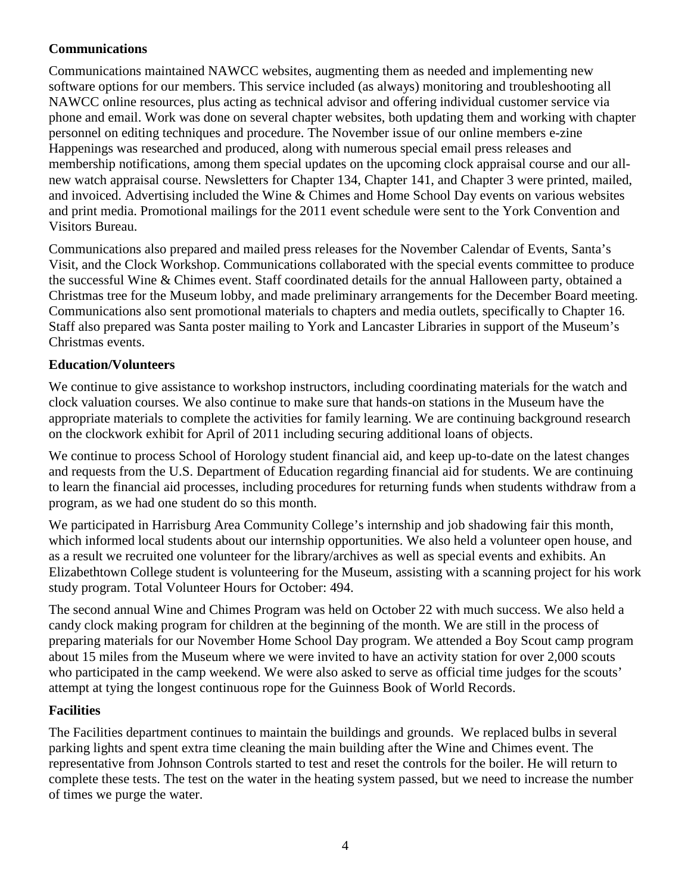### **Communications**

Communications maintained NAWCC websites, augmenting them as needed and implementing new software options for our members. This service included (as always) monitoring and troubleshooting all NAWCC online resources, plus acting as technical advisor and offering individual customer service via phone and email. Work was done on several chapter websites, both updating them and working with chapter personnel on editing techniques and procedure. The November issue of our online members e-zine Happenings was researched and produced, along with numerous special email press releases and membership notifications, among them special updates on the upcoming clock appraisal course and our allnew watch appraisal course. Newsletters for Chapter 134, Chapter 141, and Chapter 3 were printed, mailed, and invoiced. Advertising included the Wine & Chimes and Home School Day events on various websites and print media. Promotional mailings for the 2011 event schedule were sent to the York Convention and Visitors Bureau.

Communications also prepared and mailed press releases for the November Calendar of Events, Santa's Visit, and the Clock Workshop. Communications collaborated with the special events committee to produce the successful Wine & Chimes event. Staff coordinated details for the annual Halloween party, obtained a Christmas tree for the Museum lobby, and made preliminary arrangements for the December Board meeting. Communications also sent promotional materials to chapters and media outlets, specifically to Chapter 16. Staff also prepared was Santa poster mailing to York and Lancaster Libraries in support of the Museum's Christmas events.

### **Education/Volunteers**

We continue to give assistance to workshop instructors, including coordinating materials for the watch and clock valuation courses. We also continue to make sure that hands-on stations in the Museum have the appropriate materials to complete the activities for family learning. We are continuing background research on the clockwork exhibit for April of 2011 including securing additional loans of objects.

We continue to process School of Horology student financial aid, and keep up-to-date on the latest changes and requests from the U.S. Department of Education regarding financial aid for students. We are continuing to learn the financial aid processes, including procedures for returning funds when students withdraw from a program, as we had one student do so this month.

We participated in Harrisburg Area Community College's internship and job shadowing fair this month, which informed local students about our internship opportunities. We also held a volunteer open house, and as a result we recruited one volunteer for the library/archives as well as special events and exhibits. An Elizabethtown College student is volunteering for the Museum, assisting with a scanning project for his work study program. Total Volunteer Hours for October: 494.

The second annual Wine and Chimes Program was held on October 22 with much success. We also held a candy clock making program for children at the beginning of the month. We are still in the process of preparing materials for our November Home School Day program. We attended a Boy Scout camp program about 15 miles from the Museum where we were invited to have an activity station for over 2,000 scouts who participated in the camp weekend. We were also asked to serve as official time judges for the scouts' attempt at tying the longest continuous rope for the Guinness Book of World Records.

### **Facilities**

The Facilities department continues to maintain the buildings and grounds. We replaced bulbs in several parking lights and spent extra time cleaning the main building after the Wine and Chimes event. The representative from Johnson Controls started to test and reset the controls for the boiler. He will return to complete these tests. The test on the water in the heating system passed, but we need to increase the number of times we purge the water.